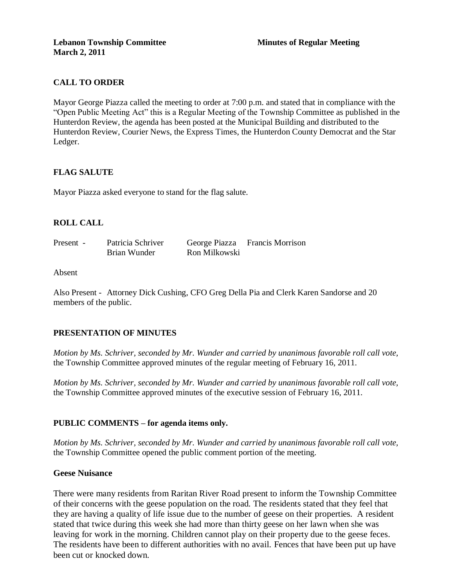### **CALL TO ORDER**

Mayor George Piazza called the meeting to order at 7:00 p.m. and stated that in compliance with the "Open Public Meeting Act" this is a Regular Meeting of the Township Committee as published in the Hunterdon Review, the agenda has been posted at the Municipal Building and distributed to the Hunterdon Review, Courier News, the Express Times, the Hunterdon County Democrat and the Star Ledger.

### **FLAG SALUTE**

Mayor Piazza asked everyone to stand for the flag salute.

### **ROLL CALL**

| Present - | Patricia Schriver |               | George Piazza Francis Morrison |
|-----------|-------------------|---------------|--------------------------------|
|           | Brian Wunder      | Ron Milkowski |                                |

#### Absent

Also Present - Attorney Dick Cushing, CFO Greg Della Pia and Clerk Karen Sandorse and 20 members of the public.

### **PRESENTATION OF MINUTES**

*Motion by Ms. Schriver, seconded by Mr. Wunder and carried by unanimous favorable roll call vote,* the Township Committee approved minutes of the regular meeting of February 16, 2011.

*Motion by Ms. Schriver, seconded by Mr. Wunder and carried by unanimous favorable roll call vote,* the Township Committee approved minutes of the executive session of February 16, 2011.

### **PUBLIC COMMENTS – for agenda items only.**

*Motion by Ms. Schriver, seconded by Mr. Wunder and carried by unanimous favorable roll call vote,* the Township Committee opened the public comment portion of the meeting.

#### **Geese Nuisance**

There were many residents from Raritan River Road present to inform the Township Committee of their concerns with the geese population on the road. The residents stated that they feel that they are having a quality of life issue due to the number of geese on their properties. A resident stated that twice during this week she had more than thirty geese on her lawn when she was leaving for work in the morning. Children cannot play on their property due to the geese feces. The residents have been to different authorities with no avail. Fences that have been put up have been cut or knocked down.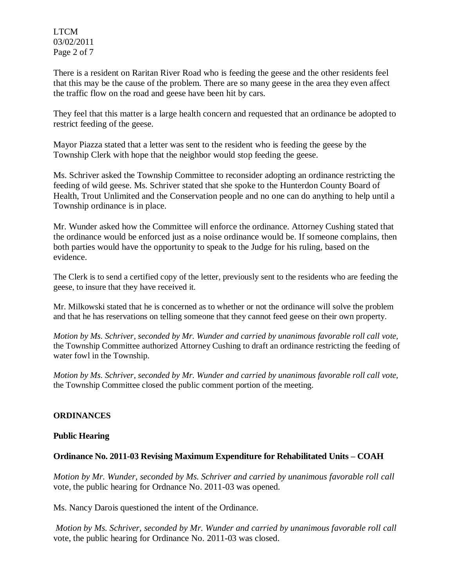LTCM 03/02/2011 Page 2 of 7

There is a resident on Raritan River Road who is feeding the geese and the other residents feel that this may be the cause of the problem. There are so many geese in the area they even affect the traffic flow on the road and geese have been hit by cars.

They feel that this matter is a large health concern and requested that an ordinance be adopted to restrict feeding of the geese.

Mayor Piazza stated that a letter was sent to the resident who is feeding the geese by the Township Clerk with hope that the neighbor would stop feeding the geese.

Ms. Schriver asked the Township Committee to reconsider adopting an ordinance restricting the feeding of wild geese. Ms. Schriver stated that she spoke to the Hunterdon County Board of Health, Trout Unlimited and the Conservation people and no one can do anything to help until a Township ordinance is in place.

Mr. Wunder asked how the Committee will enforce the ordinance. Attorney Cushing stated that the ordinance would be enforced just as a noise ordinance would be. If someone complains, then both parties would have the opportunity to speak to the Judge for his ruling, based on the evidence.

The Clerk is to send a certified copy of the letter, previously sent to the residents who are feeding the geese, to insure that they have received it.

Mr. Milkowski stated that he is concerned as to whether or not the ordinance will solve the problem and that he has reservations on telling someone that they cannot feed geese on their own property.

*Motion by Ms. Schriver, seconded by Mr. Wunder and carried by unanimous favorable roll call vote,* the Township Committee authorized Attorney Cushing to draft an ordinance restricting the feeding of water fowl in the Township.

*Motion by Ms. Schriver, seconded by Mr. Wunder and carried by unanimous favorable roll call vote,* the Township Committee closed the public comment portion of the meeting.

# **ORDINANCES**

### **Public Hearing**

# **Ordinance No. 2011-03 Revising Maximum Expenditure for Rehabilitated Units – COAH**

*Motion by Mr. Wunder, seconded by Ms. Schriver and carried by unanimous favorable roll call*  vote*,* the public hearing for Ordnance No. 2011-03 was opened.

Ms. Nancy Darois questioned the intent of the Ordinance.

*Motion by Ms. Schriver, seconded by Mr. Wunder and carried by unanimous favorable roll call*  vote, the public hearing for Ordinance No. 2011-03 was closed.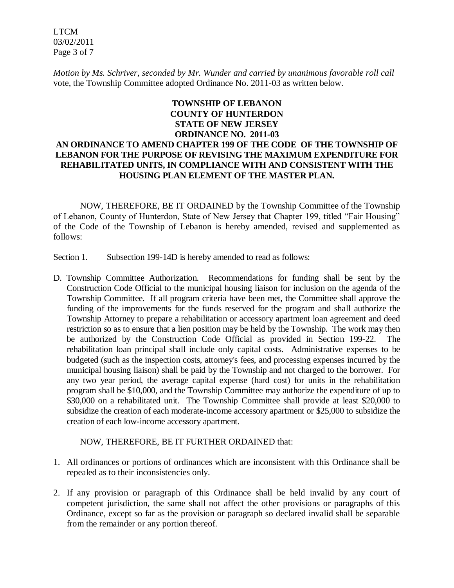LTCM 03/02/2011 Page 3 of 7

*Motion by Ms. Schriver, seconded by Mr. Wunder and carried by unanimous favorable roll call*  vote, the Township Committee adopted Ordinance No. 2011-03 as written below.

# **TOWNSHIP OF LEBANON COUNTY OF HUNTERDON STATE OF NEW JERSEY ORDINANCE NO. 2011-03 AN ORDINANCE TO AMEND CHAPTER 199 OF THE CODE OF THE TOWNSHIP OF LEBANON FOR THE PURPOSE OF REVISING THE MAXIMUM EXPENDITURE FOR REHABILITATED UNITS, IN COMPLIANCE WITH AND CONSISTENT WITH THE HOUSING PLAN ELEMENT OF THE MASTER PLAN.**

NOW, THEREFORE, BE IT ORDAINED by the Township Committee of the Township of Lebanon, County of Hunterdon, State of New Jersey that Chapter 199, titled "Fair Housing" of the Code of the Township of Lebanon is hereby amended, revised and supplemented as follows:

Section 1. Subsection 199-14D is hereby amended to read as follows:

D. Township Committee Authorization. Recommendations for funding shall be sent by the Construction Code Official to the municipal housing liaison for inclusion on the agenda of the Township Committee. If all program criteria have been met, the Committee shall approve the funding of the improvements for the funds reserved for the program and shall authorize the Township Attorney to prepare a rehabilitation or accessory apartment loan agreement and deed restriction so as to ensure that a lien position may be held by the Township. The work may then be authorized by the Construction Code Official as provided in Section 199-22. The rehabilitation loan principal shall include only capital costs. Administrative expenses to be budgeted (such as the inspection costs, attorney's fees, and processing expenses incurred by the municipal housing liaison) shall be paid by the Township and not charged to the borrower. For any two year period, the average capital expense (hard cost) for units in the rehabilitation program shall be \$10,000, and the Township Committee may authorize the expenditure of up to \$30,000 on a rehabilitated unit. The Township Committee shall provide at least \$20,000 to subsidize the creation of each moderate-income accessory apartment or \$25,000 to subsidize the creation of each low-income accessory apartment.

#### NOW, THEREFORE, BE IT FURTHER ORDAINED that:

- 1. All ordinances or portions of ordinances which are inconsistent with this Ordinance shall be repealed as to their inconsistencies only.
- 2. If any provision or paragraph of this Ordinance shall be held invalid by any court of competent jurisdiction, the same shall not affect the other provisions or paragraphs of this Ordinance, except so far as the provision or paragraph so declared invalid shall be separable from the remainder or any portion thereof.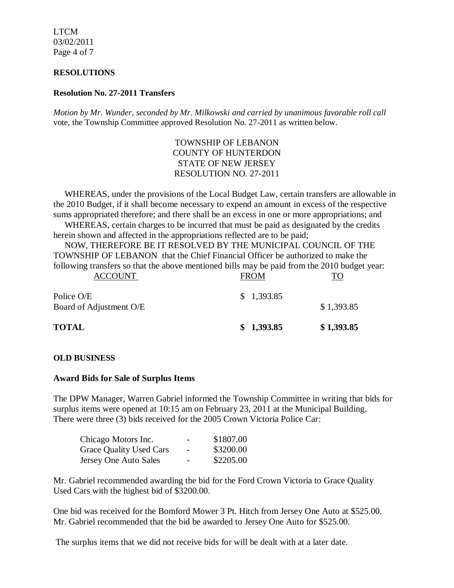LTCM 03/02/2011 Page 4 of 7

#### **RESOLUTIONS**

#### **Resolution No. 27-2011 Transfers**

*Motion by Mr. Wunder, seconded by Mr. Milkowski and carried by unanimous favorable roll call*  vote, the Township Committee approved Resolution No. 27-2011 as written below.

### TOWNSHIP OF LEBANON COUNTY OF HUNTERDON STATE OF NEW JERSEY RESOLUTION NO. 27-2011

 WHEREAS, under the provisions of the Local Budget Law, certain transfers are allowable in the 2010 Budget, if it shall become necessary to expend an amount in excess of the respective sums appropriated therefore; and there shall be an excess in one or more appropriations; and

 WHEREAS, certain charges to be incurred that must be paid as designated by the credits herein shown and affected in the appropriations reflected are to be paid;

 NOW, THEREFORE BE IT RESOLVED BY THE MUNICIPAL COUNCIL OF THE TOWNSHIP OF LEBANON that the Chief Financial Officer be authorized to make the following transfers so that the above mentioned bills may be paid from the 2010 budget year:<br> $F_{\text{ROM}}$  TO ACCOUNT FROM FROM TO

| <b>TOTAL</b>                          | \$1,393.85     | \$1,393.85     |
|---------------------------------------|----------------|----------------|
| Police O/E<br>Board of Adjustment O/E | \$1,393.85     | \$1,393.85     |
| ACCOUNT                               | <b>TIZOTAT</b> | $\overline{1}$ |

### **OLD BUSINESS**

#### **Award Bids for Sale of Surplus Items**

The DPW Manager, Warren Gabriel informed the Township Committee in writing that bids for surplus items were opened at 10:15 am on February 23, 2011 at the Municipal Building. There were three (3) bids received for the 2005 Crown Victoria Police Car:

| Chicago Motors Inc.            | - | \$1807.00 |
|--------------------------------|---|-----------|
| <b>Grace Quality Used Cars</b> | - | \$3200.00 |
| Jersey One Auto Sales          | - | \$2205.00 |

Mr. Gabriel recommended awarding the bid for the Ford Crown Victoria to Grace Quality Used Cars with the highest bid of \$3200.00.

One bid was received for the Bomford Mower 3 Pt. Hitch from Jersey One Auto at \$525.00. Mr. Gabriel recommended that the bid be awarded to Jersey One Auto for \$525.00.

The surplus items that we did not receive bids for will be dealt with at a later date.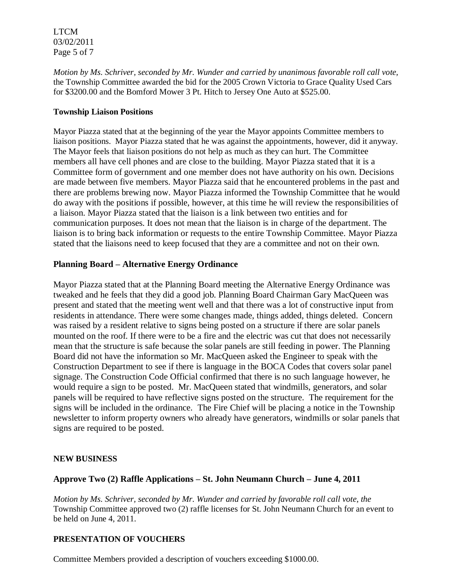LTCM 03/02/2011 Page 5 of 7

*Motion by Ms. Schriver, seconded by Mr. Wunder and carried by unanimous favorable roll call vote,* the Township Committee awarded the bid for the 2005 Crown Victoria to Grace Quality Used Cars for \$3200.00 and the Bomford Mower 3 Pt. Hitch to Jersey One Auto at \$525.00.

### **Township Liaison Positions**

Mayor Piazza stated that at the beginning of the year the Mayor appoints Committee members to liaison positions. Mayor Piazza stated that he was against the appointments, however, did it anyway. The Mayor feels that liaison positions do not help as much as they can hurt. The Committee members all have cell phones and are close to the building. Mayor Piazza stated that it is a Committee form of government and one member does not have authority on his own. Decisions are made between five members. Mayor Piazza said that he encountered problems in the past and there are problems brewing now. Mayor Piazza informed the Township Committee that he would do away with the positions if possible, however, at this time he will review the responsibilities of a liaison. Mayor Piazza stated that the liaison is a link between two entities and for communication purposes. It does not mean that the liaison is in charge of the department. The liaison is to bring back information or requests to the entire Township Committee. Mayor Piazza stated that the liaisons need to keep focused that they are a committee and not on their own.

### **Planning Board – Alternative Energy Ordinance**

Mayor Piazza stated that at the Planning Board meeting the Alternative Energy Ordinance was tweaked and he feels that they did a good job. Planning Board Chairman Gary MacQueen was present and stated that the meeting went well and that there was a lot of constructive input from residents in attendance. There were some changes made, things added, things deleted. Concern was raised by a resident relative to signs being posted on a structure if there are solar panels mounted on the roof. If there were to be a fire and the electric was cut that does not necessarily mean that the structure is safe because the solar panels are still feeding in power. The Planning Board did not have the information so Mr. MacQueen asked the Engineer to speak with the Construction Department to see if there is language in the BOCA Codes that covers solar panel signage. The Construction Code Official confirmed that there is no such language however, he would require a sign to be posted. Mr. MacQueen stated that windmills, generators, and solar panels will be required to have reflective signs posted on the structure. The requirement for the signs will be included in the ordinance. The Fire Chief will be placing a notice in the Township newsletter to inform property owners who already have generators, windmills or solar panels that signs are required to be posted.

### **NEW BUSINESS**

# **Approve Two (2) Raffle Applications – St. John Neumann Church – June 4, 2011**

*Motion by Ms. Schriver, seconded by Mr. Wunder and carried by favorable roll call vote, the* Township Committee approved two (2) raffle licenses for St. John Neumann Church for an event to be held on June 4, 2011.

# **PRESENTATION OF VOUCHERS**

Committee Members provided a description of vouchers exceeding \$1000.00.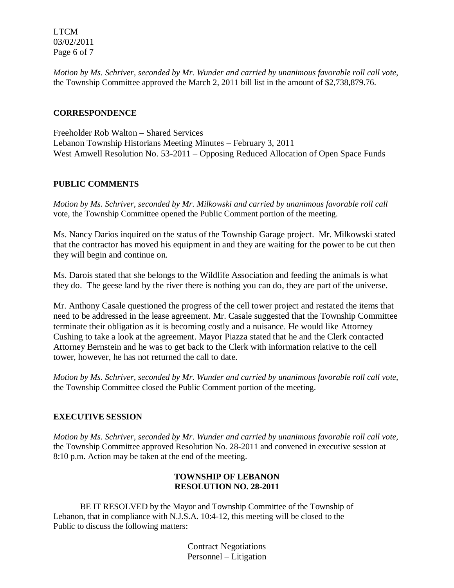LTCM 03/02/2011 Page 6 of 7

*Motion by Ms. Schriver, seconded by Mr. Wunder and carried by unanimous favorable roll call vote,* the Township Committee approved the March 2, 2011 bill list in the amount of \$2,738,879.76.

### **CORRESPONDENCE**

Freeholder Rob Walton – Shared Services Lebanon Township Historians Meeting Minutes – February 3, 2011 West Amwell Resolution No. 53-2011 – Opposing Reduced Allocation of Open Space Funds

### **PUBLIC COMMENTS**

*Motion by Ms. Schriver, seconded by Mr. Milkowski and carried by unanimous favorable roll call* vote, the Township Committee opened the Public Comment portion of the meeting.

Ms. Nancy Darios inquired on the status of the Township Garage project. Mr. Milkowski stated that the contractor has moved his equipment in and they are waiting for the power to be cut then they will begin and continue on.

Ms. Darois stated that she belongs to the Wildlife Association and feeding the animals is what they do. The geese land by the river there is nothing you can do, they are part of the universe.

Mr. Anthony Casale questioned the progress of the cell tower project and restated the items that need to be addressed in the lease agreement. Mr. Casale suggested that the Township Committee terminate their obligation as it is becoming costly and a nuisance. He would like Attorney Cushing to take a look at the agreement. Mayor Piazza stated that he and the Clerk contacted Attorney Bernstein and he was to get back to the Clerk with information relative to the cell tower, however, he has not returned the call to date.

*Motion by Ms. Schriver, seconded by Mr. Wunder and carried by unanimous favorable roll call vote,* the Township Committee closed the Public Comment portion of the meeting.

### **EXECUTIVE SESSION**

*Motion by Ms. Schriver, seconded by Mr. Wunder and carried by unanimous favorable roll call vote,* the Township Committee approved Resolution No. 28-2011 and convened in executive session at 8:10 p.m. Action may be taken at the end of the meeting.

### **TOWNSHIP OF LEBANON RESOLUTION NO. 28-2011**

BE IT RESOLVED by the Mayor and Township Committee of the Township of Lebanon, that in compliance with N.J.S.A. 10:4-12, this meeting will be closed to the Public to discuss the following matters:

> Contract Negotiations Personnel – Litigation